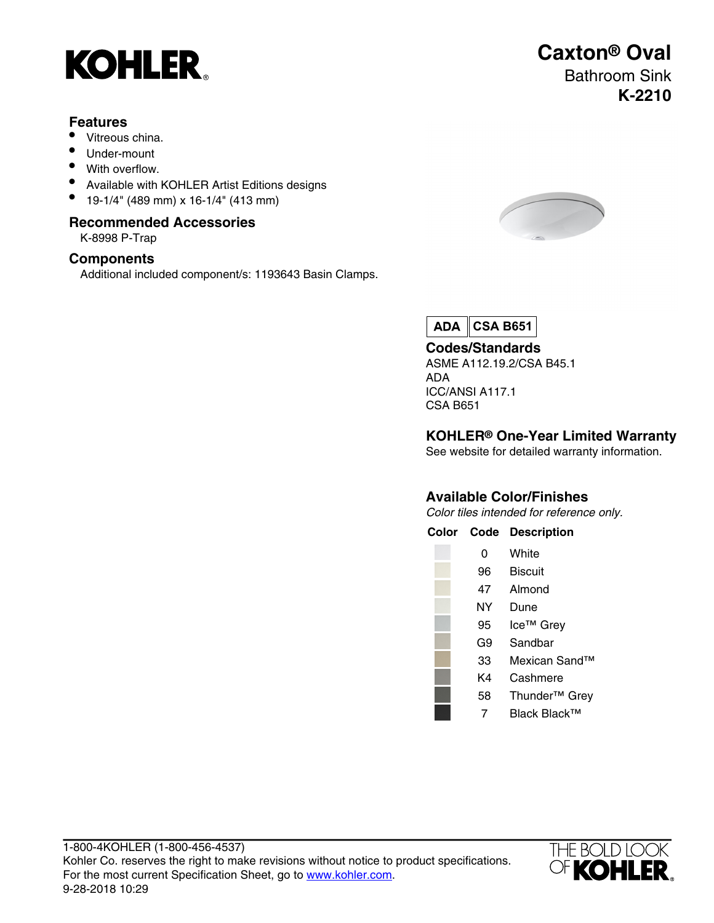

#### **Features**

- Vitreous china.
- Under-mount
- With overflow.
- Available with KOHLER Artist Editions designs
- 19-1/4" (489 mm) x 16-1/4" (413 mm)

#### **Recommended Accessories**

K-8998 P-Trap

### **Components**

Additional included component/s: 1193643 Basin Clamps.



**Caxton® Oval**

Bathroom Sink

**K-2210**

 $ADA$ **CSA B651**

**Codes/Standards** ASME A112.19.2/CSA B45.1 ADA ICC/ANSI A117.1 CSA B651

### **KOHLER® One-Year Limited Warranty**

See website for detailed warranty information.

### **Available Color/Finishes**

Color tiles intended for reference only.

**Color Code Description**

| O  | White   |
|----|---------|
| 96 | Biscuit |
| 47 | Almond  |
| NΥ | Dune    |

- 95 Ice™ Grey
- G9 Sandbar
- 33 Mexican Sand™
	- K4 Cashmere
	- 58 Thunder™ Grey
	- 7 Black Black™